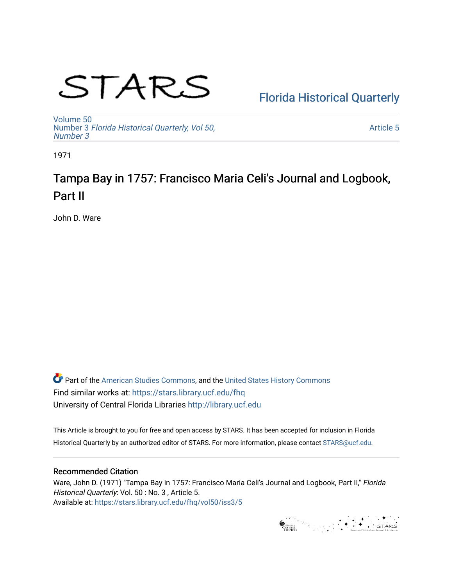# STARS

## [Florida Historical Quarterly](https://stars.library.ucf.edu/fhq)

[Volume 50](https://stars.library.ucf.edu/fhq/vol50) Number 3 [Florida Historical Quarterly, Vol 50,](https://stars.library.ucf.edu/fhq/vol50/iss3)  [Number 3](https://stars.library.ucf.edu/fhq/vol50/iss3)

[Article 5](https://stars.library.ucf.edu/fhq/vol50/iss3/5) 

1971

# Tampa Bay in 1757: Francisco Maria Celi's Journal and Logbook, Part II

John D. Ware

**C** Part of the [American Studies Commons](http://network.bepress.com/hgg/discipline/439?utm_source=stars.library.ucf.edu%2Ffhq%2Fvol50%2Fiss3%2F5&utm_medium=PDF&utm_campaign=PDFCoverPages), and the United States History Commons Find similar works at: <https://stars.library.ucf.edu/fhq> University of Central Florida Libraries [http://library.ucf.edu](http://library.ucf.edu/) 

This Article is brought to you for free and open access by STARS. It has been accepted for inclusion in Florida Historical Quarterly by an authorized editor of STARS. For more information, please contact [STARS@ucf.edu.](mailto:STARS@ucf.edu)

## Recommended Citation

Ware, John D. (1971) "Tampa Bay in 1757: Francisco Maria Celi's Journal and Logbook, Part II," Florida Historical Quarterly: Vol. 50 : No. 3 , Article 5. Available at: [https://stars.library.ucf.edu/fhq/vol50/iss3/5](https://stars.library.ucf.edu/fhq/vol50/iss3/5?utm_source=stars.library.ucf.edu%2Ffhq%2Fvol50%2Fiss3%2F5&utm_medium=PDF&utm_campaign=PDFCoverPages) 

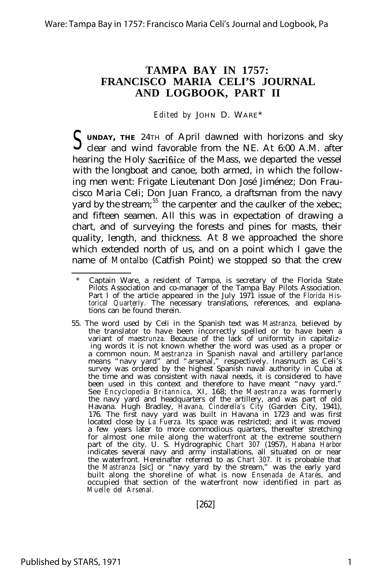### **TAMPA BAY IN 1757: FRANCISCO MARIA CELI'S JOURNAL AND LOGBOOK, PART II**

*Edited by* JOHN D. WARE\*

**S** UNDAY, THE 24TH of April dawned with horizons and sky clear and wind favorable from the NE. At 6:00 A.M. after clear and wind favorable from the NE. At 6:00 A.M. after hearing the Holy Sacrifiice of the Mass, we departed the vessel with the longboat and canoe, both armed, in which the following men went: Frigate Lieutenant Don José Jiménez; Don Fraucisco Maria Celi; Don Juan Franco, a draftsman from the navy yard by the stream;<sup>55</sup> the carpenter and the caulker of the xebec; and fifteen seamen. All this was in expectation of drawing a chart, and of surveying the forests and pines for masts, their quality, length, and thickness. At 8 we approached the shore which extended north of us, and on a point which I gave the name of *Montalbo* (Catfish Point) we stopped so that the crew

[262]

<sup>\*</sup> Captain Ware, a resident of Tampa, is secretary of the Florida State Pilots Association and co-manager of the Tampa Bay Pilots Association. Part I of the article appeared in the July 1971 issue of the *Florida Historical Quarterly.* The necessary translations, references, and explanations can be found therein.

<sup>55.</sup> The word used by Celi in the Spanish text was *Mastranza,* believed by the translator to have been incorrectly spelled or to have been a variant of *maestrunza.* Because of the lack of uniformity in capitalizing words it is not known whether the word was used as a proper or a common noun. *Maestranza* in Spanish naval and artillery parlance means "navy yard" and "arsenal," respectively. Inasmuch as Celi's survey was ordered by the highest Spanish naval authority in Cuba at the time and was consistent with naval needs, it is considered to have been used in this context and therefore to have meant "navy yard." See *Encyclopedia Britannica,* XI, 168; the *Maestranza* was formerly the navy yard and headquarters of the artillery, and was part of old Havana. Hugh Bradley, *Havana, Cinderella's City* (Garden City, 1941), 176. The first navy yard was built in Havana in 1723 and was first located close by *La Fuerza.* Its space was restricted; and it was moved a few years later to more commodious quarters, thereafter stretching for almost one mile along the waterfront at the extreme southern part of the city. U. S. Hydrographic *Chart 307* (1957), *Habana Harbor* indicates several navy and army installations, all situated on or near the waterfront. Hereinafter referred to as *Chart 307.* It is probable that the *Mastranza* [sic] or "navy yard by the stream," was the early yard built along the shoreline of what is now *Ensenada de Atarés,* and occupied that section of the waterfront now identified in part as *Muelle del Arsenal.*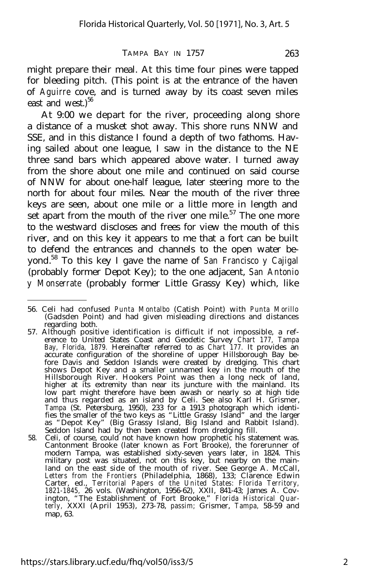might prepare their meal. At this time four pines were tapped for bleeding pitch. (This point is at the entrance of the haven of *Aguirre* cove, and is turned away by its coast seven miles east and west.) $56$ 

At 9:00 we depart for the river, proceeding along shore a distance of a musket shot away. This shore runs NNW and SSE, and in this distance I found a depth of two fathoms. Having sailed about one league, I saw in the distance to the NE three sand bars which appeared above water. I turned away from the shore about one mile and continued on said course of NNW for about one-half league, later steering more to the north for about four miles. Near the mouth of the river three keys are seen, about one mile or a little more in length and set apart from the mouth of the river one mile.<sup>57</sup> The one more to the westward discloses and frees for view the mouth of this river, and on this key it appears to me that a fort can be built to defend the entrances and channels to the open water beyond.<sup>58</sup> To this key I gave the name of *San Francisco y Cajigal* (probably former Depot Key); to the one adjacent, *San Antonio y Monserrate* (probably former Little Grassy Key) which, like

<sup>56.</sup> Celi had confused *Punta Montalbo* (Catish Point) with *Punta Morillo* (Gadsden Point) and had given misleading directions and distances regarding both.

<sup>57.</sup> Although positive identification is difficult if not impossible, a reference to United States Coast and Geodetic Survey *Chart 177, Tampa<br>Bay, Florida, 1879.* Hereinafter referred to as *Chart 177.* It provides an<br>accurate configuration of the shoreline of upper Hillsborough Bay before Davis and Seddon Islands were created by dredging. This chart shows Depot Key and a smaller unnamed key in the mouth of the Hillsborough River. Hookers Point was then a long neck of land, higher at its extremity than near its juncture with the mainland. Its low part might therefore have been awash or nearly so at high tide and thus regarded as an island by Celi. See also Karl H. Grismer, *Tampa* (St. Petersburg, 1950), 233 for a 1913 photograph which identi-fies the smaller of the two keys as "Little Grassy Island" and the larger as "Depot Key" (Big Grassy Island, Big Island and Rabbit Island). Seddon Island had by then been created from dredging fill.

<sup>58.</sup> Celi, of course, could not have known how prophetic his statement was. Cantonment Brooke (later known as Fort Brooke), the forerunner of modern Tampa, was established sixty-seven years later, in 1824. This military post was situated, not on this key, but nearby on the mainland on the east side of the mouth of river. See George A. McCall,<br>Letters from the Frontiers (Philadelphia, 1868), 133; Clarence Edwin<br>Carter, ed., Territorial Papers of the United States: Florida Territory,<br>1821-1845, 26 ington, "The Establishment of Fort Brooke," *Florida Historical Quarterly,* XXXI (April 1953), 273-78, *passim;* Grismer, *Tampa,* 58-59 and map, 63.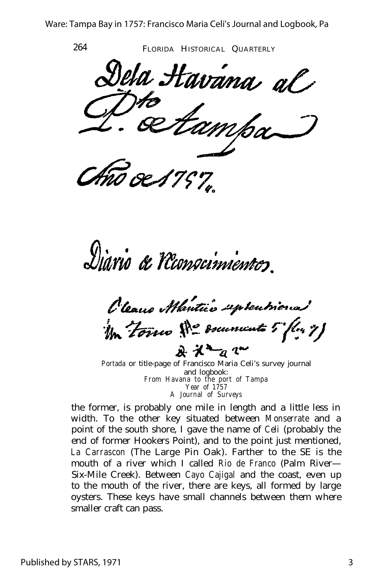

Diario & Reonocimientos

Cleans Mantico explentments In Tomo ! souments 5 flux 7)  $x^2 - y^2$ 

*Portada* or title-page of Francisco Maria Celi's survey journal and logbook: *From Havana to the port of Tampa Year of 1757 A Journal of Surveys*

the former, is probably one mile in length and a little less in width. To the other key situated between *Monserrate* and a point of the south shore, I gave the name of *Celi* (probably the end of former Hookers Point), and to the point just mentioned, *La Carrascon* (The Large Pin Oak). Farther to the SE is the mouth of a river which I called *Rio de Franco* (Palm River— Six-Mile Creek). Between *Cayo Cajigal* and the coast, even up to the mouth of the river, there are keys, all formed by large oysters. These keys have small channels between them where smaller craft can pass.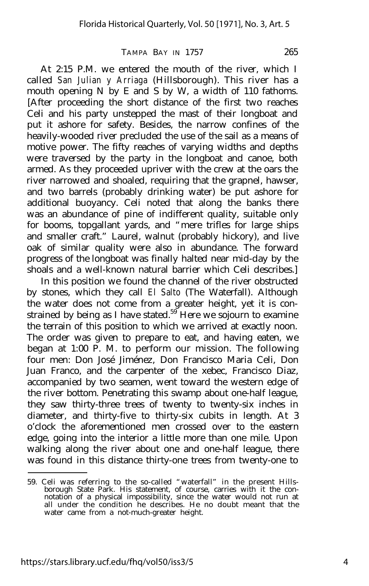At 2:15 P.M. we entered the mouth of the river, which I called *San Julian y Arriaga* (Hillsborough). This river has a mouth opening  $N$  by E and S by W, a width of 110 fathoms. [After proceeding the short distance of the first two reaches Celi and his party unstepped the mast of their longboat and put it ashore for safety. Besides, the narrow confines of the heavily-wooded river precluded the use of the sail as a means of motive power. The fifty reaches of varying widths and depths were traversed by the party in the longboat and canoe, both armed. As they proceeded upriver with the crew at the oars the river narrowed and shoaled, requiring that the grapnel, hawser, and two barrels (probably drinking water) be put ashore for additional buoyancy. Celi noted that along the banks there was an abundance of pine of indifferent quality, suitable only for booms, topgallant yards, and "mere trifles for large ships and smaller craft." Laurel, walnut (probably hickory), and live oak of similar quality were also in abundance. The forward progress of the longboat was finally halted near mid-day by the shoals and a well-known natural barrier which Celi describes.]

In this position we found the channel of the river obstructed by stones, which they call *El Salto* (The Waterfall). Although the water does not come from a greater height, yet it is constrained by being as I have stated.<sup>59</sup> Here we sojourn to examine the terrain of this position to which we arrived at exactly noon. The order was given to prepare to eat, and having eaten, we began at 1:00 P. M. to perform our mission. The following four men: Don José Jiménez, Don Francisco Maria Celi, Don Juan Franco, and the carpenter of the xebec, Francisco Diaz, accompanied by two seamen, went toward the western edge of the river bottom. Penetrating this swamp about one-half league, they saw thirty-three trees of twenty to twenty-six inches in diameter, and thirty-five to thirty-six cubits in length. At 3 o'clock the aforementioned men crossed over to the eastern edge, going into the interior a little more than one mile. Upon walking along the river about one and one-half league, there was found in this distance thirty-one trees from twenty-one to

<sup>59.</sup> Celi was referring to the so-called "waterfall" in the present Hillsborough State Park. His statement, of course, carries with it the connotation of a physical impossibility, since the water would not run at all under the condition he describes. He no doubt meant that the water came from a not-much-greater height.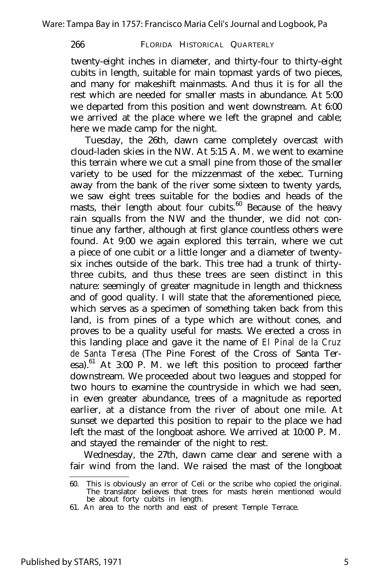twenty-eight inches in diameter, and thirty-four to thirty-eight cubits in length, suitable for main topmast yards of two pieces, and many for makeshift mainmasts. And thus it is for all the rest which are needed for smaller masts in abundance. At 5:00 we departed from this position and went downstream. At 6:00 we arrived at the place where we left the grapnel and cable; here we made camp for the night.

Tuesday, the 26th, dawn came completely overcast with cloud-laden skies in the NW. At 5:15 A. M. we went to examine this terrain where we cut a small pine from those of the smaller variety to be used for the mizzenmast of the xebec. Turning away from the bank of the river some sixteen to twenty yards, we saw eight trees suitable for the bodies and heads of the masts, their length about four cubits. $60$  Because of the heavy rain squalls from the NW and the thunder, we did not continue any farther, although at first glance countless others were found. At 9:00 we again explored this terrain, where we cut a piece of one cubit or a little longer and a diameter of twentysix inches outside of the bark. This tree had a trunk of thirtythree cubits, and thus these trees are seen distinct in this nature: seemingly of greater magnitude in length and thickness and of good quality. I will state that the aforementioned piece, which serves as a specimen of something taken back from this land, is from pines of a type which are without cones, and proves to be a quality useful for masts. We erected a cross in this landing place and gave it the name of *El Pinal de la Cruz de Santa Teresa* (The Pine Forest of the Cross of Santa Teresa).<sup>61</sup> At 3:00 P. M. we left this position to proceed farther downstream. We proceeded about two leagues and stopped for two hours to examine the countryside in which we had seen, in even greater abundance, trees of a magnitude as reported earlier, at a distance from the river of about one mile. At sunset we departed this position to repair to the place we had left the mast of the longboat ashore. We arrived at 10:00 P. M. and stayed the remainder of the night to rest.

Wednesday, the 27th, dawn came clear and serene with a fair wind from the land. We raised the mast of the longboat

<sup>60.</sup> This is obviously an error of Celi or the scribe who copied the original. The translator believes that trees for masts herein mentioned would be about forty cubits in length.

<sup>61.</sup> An area to the north and east of present Temple Terrace.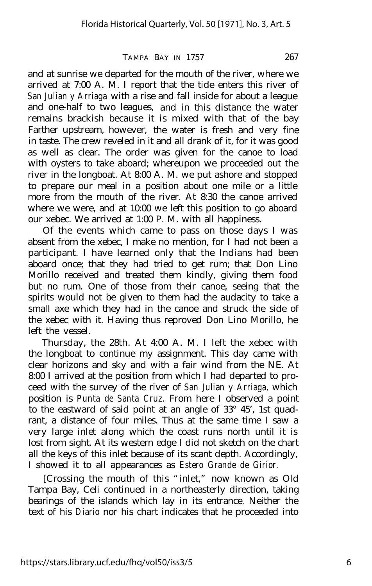and at sunrise we departed for the mouth of the river, where we arrived at 7:00 A. M. I report that the tide enters this river of *San Julian y Arriaga* with a rise and fall inside for about a league and one-half to two leagues, and in this distance the water remains brackish because it is mixed with that of the bay Farther upstream, however, the water is fresh and very fine in taste. The crew reveled in it and all drank of it, for it was good as well as clear. The order was given for the canoe to load with oysters to take aboard; whereupon we proceeded out the river in the longboat. At 8:00 A. M. we put ashore and stopped to prepare our meal in a position about one mile or a little more from the mouth of the river. At 8:30 the canoe arrived where we were, and at 10:00 we left this position to go aboard our xebec. We arrived at 1:00 P. M. with all happiness.

Of the events which came to pass on those days I was absent from the xebec, I make no mention, for I had not been a participant. I have learned only that the Indians had been aboard once; that they had tried to get rum; that Don Lino Morillo received and treated them kindly, giving them food but no rum. One of those from their canoe, seeing that the spirits would not be given to them had the audacity to take a small axe which they had in the canoe and struck the side of the xebec with it. Having thus reproved Don Lino Morillo, he left the vessel.

Thursday, the 28th. At 4:00 A. M. I left the xebec with the longboat to continue my assignment. This day came with clear horizons and sky and with a fair wind from the NE. At 8:00 I arrived at the position from which I had departed to proceed with the survey of the river of *San Julian y Arriaga,* which position is *Punta de Santa Cruz.* From here I observed a point to the eastward of said point at an angle of 33° 45', 1st quadrant, a distance of four miles. Thus at the same time I saw a very large inlet along which the coast runs north until it is lost from sight. At its western edge I did not sketch on the chart all the keys of this inlet because of its scant depth. Accordingly, I showed it to all appearances as *Estero Grande de Girior.*

[Crossing the mouth of this "inlet," now known as Old Tampa Bay, Celi continued in a northeasterly direction, taking bearings of the islands which lay in its entrance. Neither the text of his *Diario* nor his chart indicates that he proceeded into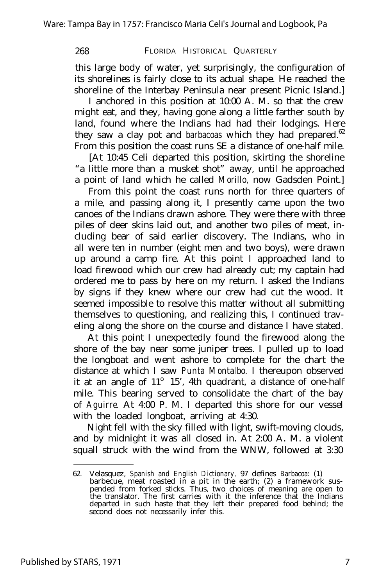this large body of water, yet surprisingly, the configuration of its shorelines is fairly close to its actual shape. He reached the shoreline of the Interbay Peninsula near present Picnic Island.]

I anchored in this position at 10:00 A. M. so that the crew might eat, and they, having gone along a little farther south by land, found where the Indians had had their lodgings. Here they saw a clay pot and *barbacoas* which they had prepared.<sup>62</sup> From this position the coast runs SE a distance of one-half mile.

[At 10:45 Celi departed this position, skirting the shoreline "a little more than a musket shot" away, until he approached a point of land which he called *Morillo,* now Gadsden Point.]

From this point the coast runs north for three quarters of a mile, and passing along it, I presently came upon the two canoes of the Indians drawn ashore. They were there with three piles of deer skins laid out, and another two piles of meat, including bear of said earlier discovery. The Indians, who in all were ten in number (eight men and two boys), were drawn up around a camp fire. At this point I approached land to load firewood which our crew had already cut; my captain had ordered me to pass by here on my return. I asked the Indians by signs if they knew where our crew had cut the wood. It seemed impossible to resolve this matter without all submitting themselves to questioning, and realizing this, I continued traveling along the shore on the course and distance I have stated.

At this point I unexpectedly found the firewood along the shore of the bay near some juniper trees. I pulled up to load the longboat and went ashore to complete for the chart the distance at which I saw *Punta Montalbo.* I thereupon observed it at an angle of  $11^{\circ}$  15', 4th quadrant, a distance of one-half mile. This bearing served to consolidate the chart of the bay of *Aguirre.* At 4:00 P. M. I departed this shore for our vessel with the loaded longboat, arriving at 4:30.

Night fell with the sky filled with light, swift-moving clouds, and by midnight it was all closed in. At 2:00 A. M. a violent squall struck with the wind from the WNW, followed at 3:30

<sup>62.</sup> Velasquez, *Spanish and English Dictionary,* 97 defines *Barbacoa:* (1) barbecue, meat roasted in a pit in the earth; (2) a framework suspended from forked sticks. Thus, two choices of meaning are open to the translator. The first carries with it the inference that the Indians departed in such haste that they left their prepared food behind; the second does not necessarily infer this.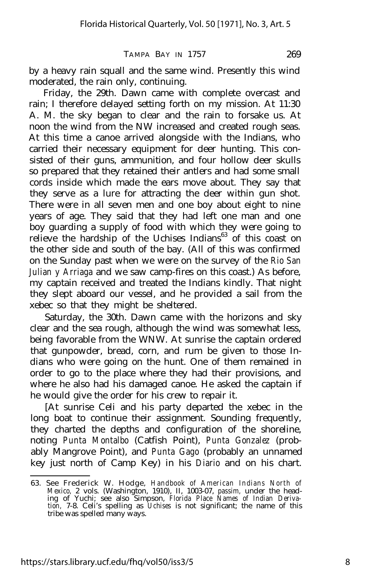by a heavy rain squall and the same wind. Presently this wind moderated, the rain only, continuing.

Friday, the 29th. Dawn came with complete overcast and rain; I therefore delayed setting forth on my mission. At 11:30 A. M. the sky began to clear and the rain to forsake us. At noon the wind from the NW increased and created rough seas. At this time a canoe arrived alongside with the Indians, who carried their necessary equipment for deer hunting. This consisted of their guns, ammunition, and four hollow deer skulls so prepared that they retained their antlers and had some small cords inside which made the ears move about. They say that they serve as a lure for attracting the deer within gun shot. There were in all seven men and one boy about eight to nine years of age. They said that they had left one man and one boy guarding a supply of food with which they were going to relieve the hardship of the Uchises Indians $^{63}$  of this coast on the other side and south of the bay. (All of this was confirmed on the Sunday past when we were on the survey of the *Rio San Julian y Arriaga* and we saw camp-fires on this coast.) As before, my captain received and treated the Indians kindly. That night they slept aboard our vessel, and he provided a sail from the xebec so that they might be sheltered.

Saturday, the 30th. Dawn came with the horizons and sky clear and the sea rough, although the wind was somewhat less, being favorable from the WNW. At sunrise the captain ordered that gunpowder, bread, corn, and rum be given to those Indians who were going on the hunt. One of them remained in order to go to the place where they had their provisions, and where he also had his damaged canoe. He asked the captain if he would give the order for his crew to repair it.

[At sunrise Celi and his party departed the xebec in the long boat to continue their assignment. Sounding frequently, they charted the depths and configuration of the shoreline, noting *Punta Montalbo* (Catfish Point), *Punta Gonzalez* (probably Mangrove Point), and *Punta Gago* (probably an unnamed key just north of Camp Key) in his *Diario* and on his chart.

<sup>63.</sup> See Frederick W. Hodge, *Handbook of American Indians North of* Mexico, 2 vols. (Washington, 1910), II, 1003-07, passim, under the heading of Yuchi; see also Simpson, *Florida Place Names of Indian Derivation*, 7-8. Celi's spelling as *Uchises* is not significant; the name of this tribe was spelled many ways.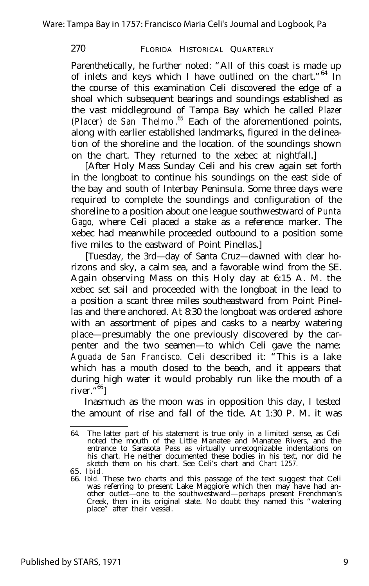Parenthetically, he further noted: "All of this coast is made up of inlets and keys which I have outlined on the chart."<sup>64</sup> In the course of this examination Celi discovered the edge of a shoal which subsequent bearings and soundings established as the vast middleground of Tampa Bay which he called *Plazer (Placer) de San Thelmo* . <sup>65</sup> Each of the aforementioned points, along with earlier established landmarks, figured in the delineation of the shoreline and the location. of the soundings shown on the chart. They returned to the xebec at nightfall.]

[After Holy Mass Sunday Celi and his crew again set forth in the longboat to continue his soundings on the east side of the bay and south of Interbay Peninsula. Some three days were required to complete the soundings and configuration of the shoreline to a position about one league southwestward of *Punta Gago,* where Celi placed a stake as a reference marker. The xebec had meanwhile proceeded outbound to a position some five miles to the eastward of Point Pinellas.]

[Tuesday, the 3rd— day of Santa Cruz— dawned with clear horizons and sky, a calm sea, and a favorable wind from the SE. Again observing Mass on this Holy day at 6:15 A. M. the xebec set sail and proceeded with the longboat in the lead to a position a scant three miles southeastward from Point Pinellas and there anchored. At 8:30 the longboat was ordered ashore with an assortment of pipes and casks to a nearby watering place— presumably the one previously discovered by the carpenter and the two seamen— to which Celi gave the name: *Aguada de San Francisco.* Celi described it: "This is a lake which has a mouth closed to the beach, and it appears that during high water it would probably run like the mouth of a river." 66]

Inasmuch as the moon was in opposition this day, I tested the amount of rise and fall of the tide. At 1:30 P. M. it was

65. *Ibid.*

<sup>64.</sup> The latter part of his statement is true only in a limited sense, as Celi noted the mouth of the Little Manatee and Manatee Rivers, and the entrance to Sarasota Pass as virtually unrecognizable indentations on his chart. He neither documented these bodies in his text, nor did he sketch them on his chart. See Celi's chart and *Chart 1257.*

<sup>66.</sup> *Ibid.* These two charts and this passage of the text suggest that Celi was referring to present Lake Maggiore which then may have had another outlet— one to the southwestward— perhaps present Frenchman's Creek, then in its original state. No doubt they named this "watering place" after their vessel.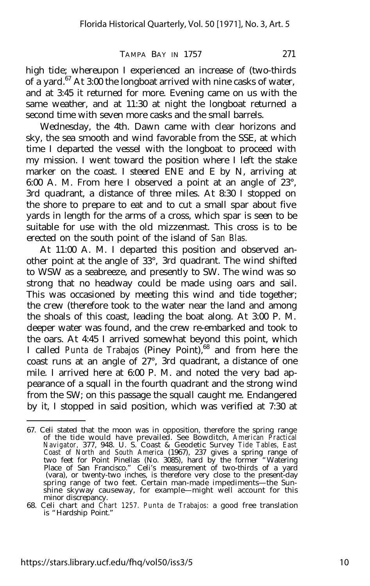high tide; whereupon I experienced an increase of (two-thirds of a yard. $67$  At 3:00 the longboat arrived with nine casks of water, and at 3:45 it returned for more. Evening came on us with the same weather, and at 11:30 at night the longboat returned a second time with seven more casks and the small barrels.

Wednesday, the 4th. Dawn came with clear horizons and sky, the sea smooth and wind favorable from the SSE, at which time I departed the vessel with the longboat to proceed with my mission. I went toward the position where I left the stake marker on the coast. I steered ENE and E by N, arriving at 6:00 A. M. From here I observed a point at an angle of 23°, 3rd quadrant, a distance of three miles. At 8:30 I stopped on the shore to prepare to eat and to cut a small spar about five yards in length for the arms of a cross, which spar is seen to be suitable for use with the old mizzenmast. This cross is to be erected on the south point of the island of *San Blas.*

At 11:00 A. M. I departed this position and observed another point at the angle of 33°, 3rd quadrant. The wind shifted to WSW as a seabreeze, and presently to SW. The wind was so strong that no headway could be made using oars and sail. This was occasioned by meeting this wind and tide together; the crew (therefore took to the water near the land and among the shoals of this coast, leading the boat along. At 3:00 P. M. deeper water was found, and the crew re-embarked and took to the oars. At 4:45 I arrived somewhat beyond this point, which I called *Punta de Trabajos* (Piney Point),<sup>68</sup> and from here the coast runs at an angle of 27°, 3rd quadrant, a distance of one mile. I arrived here at 6:00 P. M. and noted the very bad appearance of a squall in the fourth quadrant and the strong wind from the SW; on this passage the squall caught me. Endangered by it, I stopped in said position, which was verified at 7:30 at

https://stars.library.ucf.edu/fhq/vol50/iss3/5

<sup>67.</sup> Celi stated that the moon was in opposition, therefore the spring range of the tide would have prevailed. See Bowditch, *American Practical Navigator,* 377, 948. U. S. Coast & Geodetic Survey *Tide Tables, East Coast of North and South America* (1967), 237 gives a spring range of two feet for Point Pinellas (No. 3085), hard by the former "Watering Place of San Francisco." Celi's measurement of two-thirds of a yard (vara), or twenty-two inches, is therefore very close to the present-day spring range of two feet. Certain man-made impediments— the Sunshine skyway causeway, for example— might well account for this minor discrepancy.

<sup>68.</sup> Celi chart and *Chart 1257. Punta de Trabajos:* a good free translation is "Hardship Point."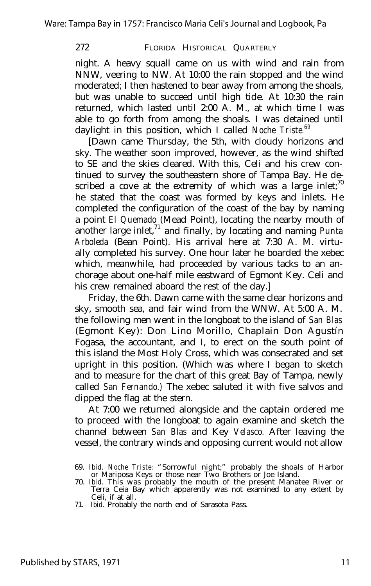night. A heavy squall came on us with wind and rain from NNW, veering to NW. At 10:00 the rain stopped and the wind moderated; I then hastened to bear away from among the shoals, but was unable to succeed until high tide. At 10:30 the rain returned, which lasted until 2:00 A. M., at which time I was able to go forth from among the shoals. I was detained until daylight in this position, which I called *Noche Triste.<sup>69</sup>*

[Dawn came Thursday, the 5th, with cloudy horizons and sky. The weather soon improved, however, as the wind shifted to SE and the skies cleared. With this, Celi and his crew continued to survey the southeastern shore of Tampa Bay. He described a cove at the extremity of which was a large inlet;<sup>70</sup> he stated that the coast was formed by keys and inlets. He completed the configuration of the coast of the bay by naming a point *El Quemado* (Mead Point), locating the nearby mouth of another large inlet,<sup>71</sup> and finally, by locating and naming *Punta Arboleda* (Bean Point). His arrival here at 7:30 A. M. virtually completed his survey. One hour later he boarded the xebec which, meanwhile, had proceeded by various tacks to an anchorage about one-half mile eastward of Egmont Key. Celi and his crew remained aboard the rest of the day.]

Friday, the 6th. Dawn came with the same clear horizons and sky, smooth sea, and fair wind from the WNW. At 5:00 A. M. the following men went in the longboat to the island of *San Blas* (Egmont Key): Don Lino Morillo, Chaplain Don Agustín Fogasa, the accountant, and I, to erect on the south point of this island the Most Holy Cross, which was consecrated and set upright in this position. (Which was where I began to sketch and to measure for the chart of this great Bay of Tampa, newly called *San Fernando.)* The xebec saluted it with five salvos and dipped the flag at the stern.

At 7:00 we returned alongside and the captain ordered me to proceed with the longboat to again examine and sketch the channel between *San Blas* and Key *Velasco.* After leaving the vessel, the contrary winds and opposing current would not allow

<sup>69.</sup> *Ibid. Noche Triste:* "Sorrowful night;" probably the shoals of Harbor or Mariposa Keys or those near Two Brothers or Joe Island.

<sup>70.</sup> *Ibid.* This was probably the mouth of the present Manatee River or Terra Ceia Bay which apparently was not examined to any extent by Celi, if at all.

<sup>71.</sup> *Ibid.* Probably the north end of Sarasota Pass.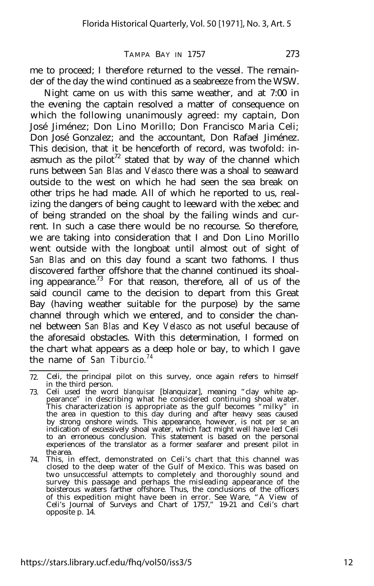me to proceed; I therefore returned to the vessel. The remainder of the day the wind continued as a seabreeze from the WSW.

Night came on us with this same weather, and at 7:00 in the evening the captain resolved a matter of consequence on which the following unanimously agreed: my captain, Don José Jiménez; Don Lino Morillo; Don Francisco Maria Celi; Don José Gonzalez; and the accountant, Don Rafael Jiménez. This decision, that it be henceforth of record, was twofold: inasmuch as the pilot<sup>72</sup> stated that by way of the channel which runs between *San Blas* and *Velasco* there was a shoal to seaward outside to the west on which he had seen the sea break on other trips he had made. All of which he reported to us, realizing the dangers of being caught to leeward with the xebec and of being stranded on the shoal by the failing winds and current. In such a case there would be no recourse. So therefore, we are taking into consideration that I and Don Lino Morillo went outside with the longboat until almost out of sight of *San Blas* and on this day found a scant two fathoms. I thus discovered farther offshore that the channel continued its shoaling appearance.<sup>73</sup> For that reason, therefore, all of us of the said council came to the decision to depart from this Great Bay (having weather suitable for the purpose) by the same channel through which we entered, and to consider the channel between *San Blas* and Key *Velasco* as not useful because of the aforesaid obstacles. With this determination, I formed on the chart what appears as a deep hole or bay, to which I gave the name of *San Tiburcio.<sup>74</sup>*

<sup>72.</sup> Celi, the principal pilot on this survey, once again refers to himself in the third person.

<sup>73.</sup> Celi used the word *blanquisar* [blanquizar], meaning "clay white ap-pearance" in describing what he considered continuing shoal water. This characterization is appropriate as the gulf becomes "milky" in the area in question to this day during and after heavy seas caused by strong onshore winds. This appearance, however, is not *per se* an indication of excessively shoal water, which fact might well have led Celi to an erroneous conclusion. This statement is based on the personal experiences of the translator as a former seafarer and present pilot in the area.

<sup>74.</sup> This, in effect, demonstrated on Celi's chart that this channel was closed to the deep water of the Gulf of Mexico. This was based on two unsuccessful attempts to completely and thoroughly sound and survey this passage and perhaps the misleading appearance of the boisterous waters farther offshore. Thus, the conclusions of the officers of this expedition might have been in error. See Ware, "A View of Celi's Journal of Surveys and Chart of 1757," 19-21 and Celi's chart opposite p. 14.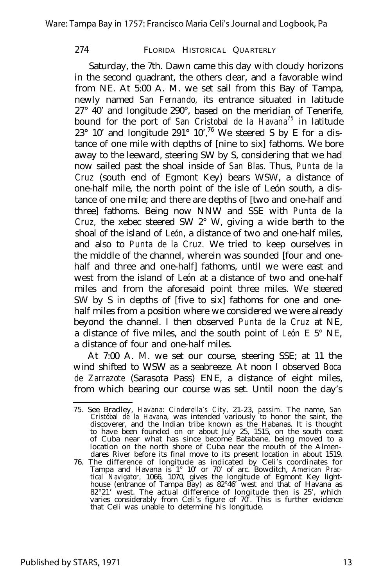Saturday, the 7th. Dawn came this day with cloudy horizons in the second quadrant, the others clear, and a favorable wind from NE. At 5:00 A. M. we set sail from this Bay of Tampa, newly named *San Fernando,* its entrance situated in latitude 27° 40' and longitude 290°, based on the meridian of Tenerife, bound for the port of *San Cristobal de la Havana<sup>75</sup>* in latitude 23° 10' and longitude 291° 10',<sup>76</sup> We steered S by E for a distance of one mile with depths of [nine to six] fathoms. We bore away to the leeward, steering SW by S, considering that we had now sailed past the shoal inside of *San Blas.* Thus, *Punta de la Cruz* (south end of Egmont Key) bears WSW, a distance of one-half mile, the north point of the isle of León south, a distance of one mile; and there are depths of [two and one-half and three] fathoms. Being now NNW and SSE with *Punta de la Cruz,* the xebec steered SW 2° W, giving a wide berth to the shoal of the island of *León,* a distance of two and one-half miles, and also to *Punta de la Cruz.* We tried to keep ourselves in the middle of the channel, wherein was sounded [four and onehalf and three and one-half] fathoms, until we were east and west from the island of *León* at a distance of two and one-half miles and from the aforesaid point three miles. We steered SW by S in depths of [five to six] fathoms for one and onehalf miles from a position where we considered we were already beyond the channel. I then observed *Punta de la Cruz* at NE, a distance of five miles, and the south point of *León* E 5° NE, a distance of four and one-half miles.

At 7:00 A. M. we set our course, steering SSE; at 11 the wind shifted to WSW as a seabreeze. At noon I observed *Boca de Zarrazote* (Sarasota Pass) ENE, a distance of eight miles, from which bearing our course was set. Until noon the day's

<sup>75.</sup> See Bradley, *Havana: Cinderella's City,* 21-23, *passim.* The name, *San Cristóbal de la Havana,* was intended variously to honor the saint, the discoverer, and the Indian tribe known as the Habanas. It is thought to have been founded on or about July 25, 1515, on the south coast of Cuba near what has since become Batabane, being moved to a location on the north shore of Cuba near the mouth of the Almendares River before its final move to its present location in about 1519.

<sup>76.</sup> The difference of longitude as indicated by Celi's coordinates for Tampa and Havana is 1° 10' or 70' of arc. Bowditch, *American Practical Navigator,* 1066, 1070, gives the longitude of Egmont Key light-house (entrance of Tampa Bay) as 82°46' west and that of Havana as 82°21' west. The actual difference of longitude then is 25', which varies considerably from Celi's figure of 70'. This is further evidence that Celi was unable to determine his longitude.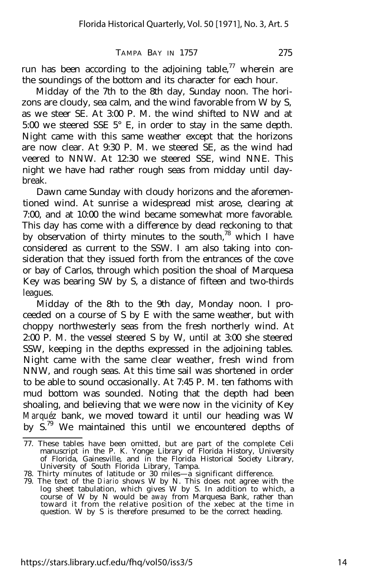run has been according to the adjoining table, $^{77}$  wherein are the soundings of the bottom and its character for each hour.

Midday of the 7th to the 8th day, Sunday noon. The horizons are cloudy, sea calm, and the wind favorable from W by S, as we steer SE. At 3:00 P. M. the wind shifted to NW and at 5:00 we steered SSE 5° E, in order to stay in the same depth. Night came with this same weather except that the horizons are now clear. At 9:30 P. M. we steered SE, as the wind had veered to NNW. At 12:30 we steered SSE, wind NNE. This night we have had rather rough seas from midday until daybreak.

Dawn came Sunday with cloudy horizons and the aforementioned wind. At sunrise a widespread mist arose, clearing at 7:00, and at 10:00 the wind became somewhat more favorable. This day has come with a difference by dead reckoning to that by observation of thirty minutes to the south,<sup>78</sup> which I have considered as current to the SSW. I am also taking into consideration that they issued forth from the entrances of the cove or bay of Carlos, through which position the shoal of Marquesa Key was bearing SW by S, a distance of fifteen and two-thirds leagues.

Midday of the 8th to the 9th day, Monday noon. I proceeded on a course of S by E with the same weather, but with choppy northwesterly seas from the fresh northerly wind. At 2:00 P. M. the vessel steered S by W, until at 3:00 she steered SSW, keeping in the depths expressed in the adjoining tables. Night came with the same clear weather, fresh wind from NNW, and rough seas. At this time sail was shortened in order to be able to sound occasionally. At 7:45 P. M. ten fathoms with mud bottom was sounded. Noting that the depth had been shoaling, and believing that we were now in the vicinity of Key *Marquéz* bank, we moved toward it until our heading was W by  $S<sup>79</sup>$  We maintained this until we encountered depths of

<sup>77.</sup> These tables have been omitted, but are part of the complete Celi manuscript in the P. K. Yonge Library of Florida History, University of Florida, Gainesville, and in the Florida Historical Society Library, University of South Florida Library, Tampa.

<sup>78.</sup> Thirty minutes of latitude or 30 miles— a significant difference. 79. The text of the *Diario* shows W by N. This does not agree with the

log sheet tabulation, which gives W by S. In addition to which, a course of W by N would be *away* from Marquesa Bank, rather than toward it from the relative position of the xebec at the time in question. W by S is therefore presumed to be the correct heading.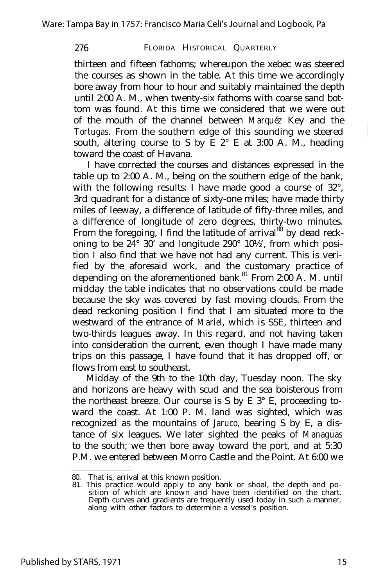thirteen and fifteen fathoms; whereupon the xebec was steered the courses as shown in the table. At this time we accordingly bore away from hour to hour and suitably maintained the depth until 2:00 A. M., when twenty-six fathoms with coarse sand bottom was found. At this time we considered that we were out of the mouth of the channel between *Marquéz* Key and the *Tortugas.* From the southern edge of this sounding we steered south, altering course to S by  $E$  2° E at 3:00 A. M., heading toward the coast of Havana.

I have corrected the courses and distances expressed in the table up to 2:00 A. M., being on the southern edge of the bank, with the following results: I have made good a course of 32°. 3rd quadrant for a distance of sixty-one miles; have made thirty miles of leeway, a difference of latitude of fifty-three miles, and a difference of longitude of zero degrees, thirty-two minutes. From the foregoing, I find the latitude of arrival<sup>80</sup> by dead reckoning to be 24° 30' and longitude 290° 10½ ', from which position I also find that we have not had any current. This is verified by the aforesaid work, and the customary practice of depending on the aforementioned bank. $81$  From 2:00 A. M. until midday the table indicates that no observations could be made because the sky was covered by fast moving clouds. From the dead reckoning position I find that I am situated more to the westward of the entrance of *Mariel,* which is SSE, thirteen and two-thirds leagues away. In this regard, and not having taken into consideration the current, even though I have made many trips on this passage, I have found that it has dropped off, or flows from east to southeast.

Midday of the 9th to the 10th day, Tuesday noon. The sky and horizons are heavy with scud and the sea boisterous from the northeast breeze. Our course is S by E 3° E, proceeding toward the coast. At 1:00 P. M. land was sighted, which was recognized as the mountains of *Jaruco,* bearing S by E, a distance of six leagues. We later sighted the peaks of *Managuas* to the south; we then bore away toward the port, and at 5:30 P.M. we entered between Morro Castle and the Point. At 6:00 we

<sup>80.</sup> That is, arrival at this known position. 81. This practice would apply to any bank or shoal, the depth and position of which are known and have been identified on the chart. Depth curves and gradients are frequently used today in such a manner, along with other factors to determine a vessel's position.